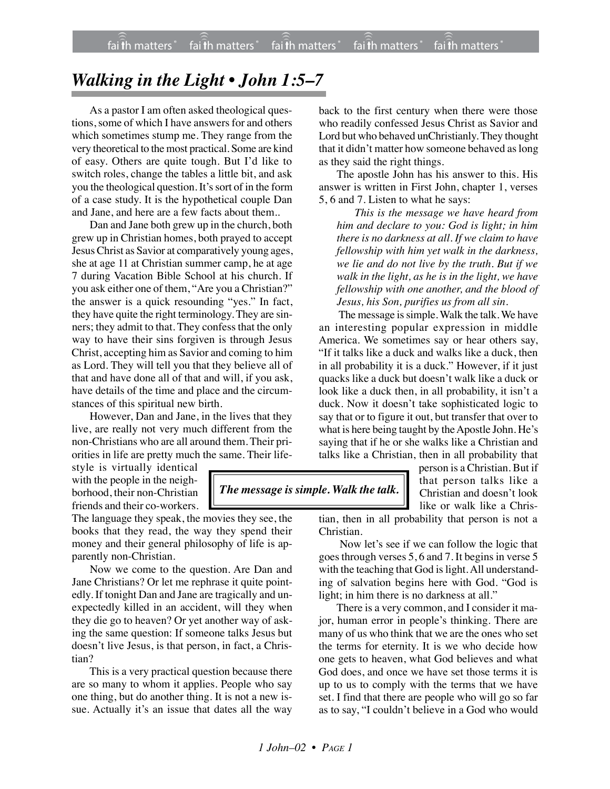## *Walking in the Light • John 1:5–7*

As a pastor I am often asked theological questions, some of which I have answers for and others which sometimes stump me. They range from the very theoretical to the most practical. Some are kind of easy. Others are quite tough. But I'd like to switch roles, change the tables a little bit, and ask you the theological question. It's sort of in the form of a case study. It is the hypothetical couple Dan and Jane, and here are a few facts about them..

Dan and Jane both grew up in the church, both grew up in Christian homes, both prayed to accept Jesus Christ as Savior at comparatively young ages, she at age 11 at Christian summer camp, he at age 7 during Vacation Bible School at his church. If you ask either one of them, "Are you a Christian?" the answer is a quick resounding "yes." In fact, they have quite the right terminology. They are sinners; they admit to that. They confess that the only way to have their sins forgiven is through Jesus Christ, accepting him as Savior and coming to him as Lord. They will tell you that they believe all of that and have done all of that and will, if you ask, have details of the time and place and the circumstances of this spiritual new birth.

However, Dan and Jane, in the lives that they live, are really not very much different from the non-Christians who are all around them. Their priorities in life are pretty much the same. Their life-

style is virtually identical with the people in the neighborhood, their non-Christian friends and their co-workers.

The language they speak, the movies they see, the books that they read, the way they spend their money and their general philosophy of life is apparently non-Christian.

Now we come to the question. Are Dan and Jane Christians? Or let me rephrase it quite pointedly. If tonight Dan and Jane are tragically and unexpectedly killed in an accident, will they when they die go to heaven? Or yet another way of asking the same question: If someone talks Jesus but doesn't live Jesus, is that person, in fact, a Christian?

This is a very practical question because there are so many to whom it applies. People who say one thing, but do another thing. It is not a new issue. Actually it's an issue that dates all the way

back to the first century when there were those who readily confessed Jesus Christ as Savior and Lord but who behaved unChristianly. They thought that it didn't matter how someone behaved as long as they said the right things.

The apostle John has his answer to this. His answer is written in First John, chapter 1, verses 5, 6 and 7. Listen to what he says:

*This is the message we have heard from him and declare to you: God is light; in him there is no darkness at all. If we claim to have fellowship with him yet walk in the darkness, we lie and do not live by the truth. But if we walk in the light, as he is in the light, we have fellowship with one another, and the blood of Jesus, his Son, purifies us from all sin.*

The message is simple. Walk the talk. We have an interesting popular expression in middle America. We sometimes say or hear others say, "If it talks like a duck and walks like a duck, then in all probability it is a duck." However, if it just quacks like a duck but doesn't walk like a duck or look like a duck then, in all probability, it isn't a duck. Now it doesn't take sophisticated logic to say that or to figure it out, but transfer that over to what is here being taught by the Apostle John. He's saying that if he or she walks like a Christian and talks like a Christian, then in all probability that

## *The message is simple. Walk the talk.*

person is a Christian. But if that person talks like a Christian and doesn't look like or walk like a Chris-

tian, then in all probability that person is not a Christian.

 Now let's see if we can follow the logic that goes through verses 5, 6 and 7. It begins in verse 5 with the teaching that God is light. All understanding of salvation begins here with God. "God is light; in him there is no darkness at all."

There is a very common, and I consider it major, human error in people's thinking. There are many of us who think that we are the ones who set the terms for eternity. It is we who decide how one gets to heaven, what God believes and what God does, and once we have set those terms it is up to us to comply with the terms that we have set. I find that there are people who will go so far as to say, "I couldn't believe in a God who would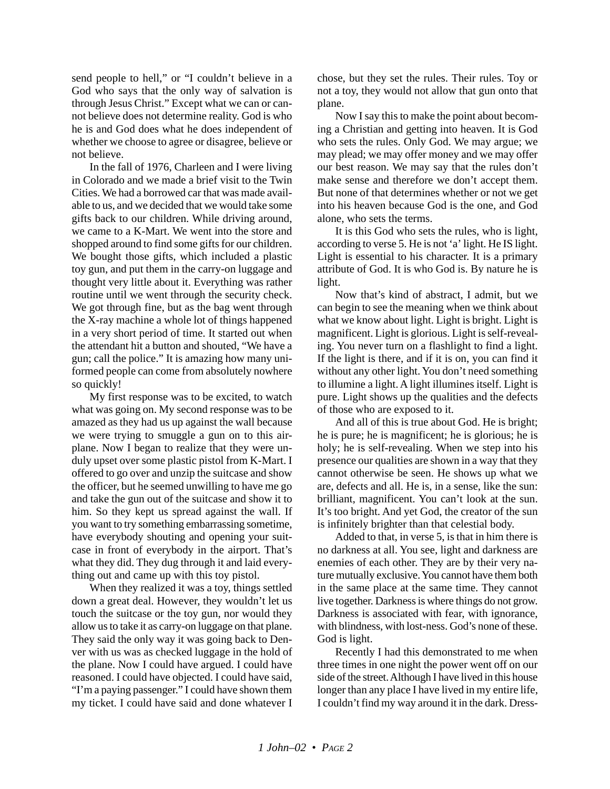send people to hell," or "I couldn't believe in a God who says that the only way of salvation is through Jesus Christ." Except what we can or cannot believe does not determine reality. God is who he is and God does what he does independent of whether we choose to agree or disagree, believe or not believe.

In the fall of 1976, Charleen and I were living in Colorado and we made a brief visit to the Twin Cities. We had a borrowed car that was made available to us, and we decided that we would take some gifts back to our children. While driving around, we came to a K-Mart. We went into the store and shopped around to find some gifts for our children. We bought those gifts, which included a plastic toy gun, and put them in the carry-on luggage and thought very little about it. Everything was rather routine until we went through the security check. We got through fine, but as the bag went through the X-ray machine a whole lot of things happened in a very short period of time. It started out when the attendant hit a button and shouted, "We have a gun; call the police." It is amazing how many uniformed people can come from absolutely nowhere so quickly!

My first response was to be excited, to watch what was going on. My second response was to be amazed as they had us up against the wall because we were trying to smuggle a gun on to this airplane. Now I began to realize that they were unduly upset over some plastic pistol from K-Mart. I offered to go over and unzip the suitcase and show the officer, but he seemed unwilling to have me go and take the gun out of the suitcase and show it to him. So they kept us spread against the wall. If you want to try something embarrassing sometime, have everybody shouting and opening your suitcase in front of everybody in the airport. That's what they did. They dug through it and laid everything out and came up with this toy pistol.

When they realized it was a toy, things settled down a great deal. However, they wouldn't let us touch the suitcase or the toy gun, nor would they allow us to take it as carry-on luggage on that plane. They said the only way it was going back to Denver with us was as checked luggage in the hold of the plane. Now I could have argued. I could have reasoned. I could have objected. I could have said, "I'm a paying passenger." I could have shown them my ticket. I could have said and done whatever I chose, but they set the rules. Their rules. Toy or not a toy, they would not allow that gun onto that plane.

Now I say this to make the point about becoming a Christian and getting into heaven. It is God who sets the rules. Only God. We may argue; we may plead; we may offer money and we may offer our best reason. We may say that the rules don't make sense and therefore we don't accept them. But none of that determines whether or not we get into his heaven because God is the one, and God alone, who sets the terms.

It is this God who sets the rules, who is light, according to verse 5. He is not 'a' light. He IS light. Light is essential to his character. It is a primary attribute of God. It is who God is. By nature he is light.

Now that's kind of abstract, I admit, but we can begin to see the meaning when we think about what we know about light. Light is bright. Light is magnificent. Light is glorious. Light is self-revealing. You never turn on a flashlight to find a light. If the light is there, and if it is on, you can find it without any other light. You don't need something to illumine a light. A light illumines itself. Light is pure. Light shows up the qualities and the defects of those who are exposed to it.

And all of this is true about God. He is bright; he is pure; he is magnificent; he is glorious; he is holy; he is self-revealing. When we step into his presence our qualities are shown in a way that they cannot otherwise be seen. He shows up what we are, defects and all. He is, in a sense, like the sun: brilliant, magnificent. You can't look at the sun. It's too bright. And yet God, the creator of the sun is infinitely brighter than that celestial body.

Added to that, in verse 5, is that in him there is no darkness at all. You see, light and darkness are enemies of each other. They are by their very nature mutually exclusive. You cannot have them both in the same place at the same time. They cannot live together. Darkness is where things do not grow. Darkness is associated with fear, with ignorance, with blindness, with lost-ness. God's none of these. God is light.

Recently I had this demonstrated to me when three times in one night the power went off on our side of the street. Although I have lived in this house longer than any place I have lived in my entire life, I couldn't find my way around it in the dark. Dress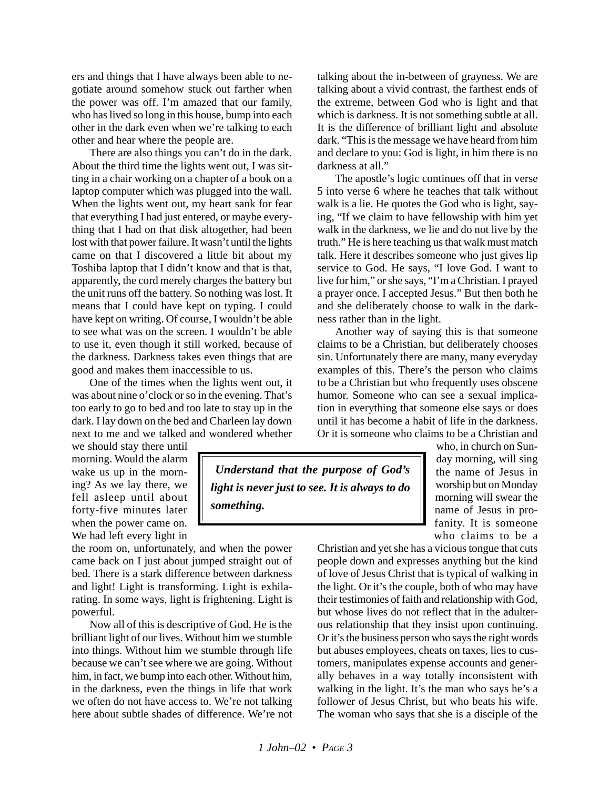ers and things that I have always been able to negotiate around somehow stuck out farther when the power was off. I'm amazed that our family, who has lived so long in this house, bump into each other in the dark even when we're talking to each other and hear where the people are.

There are also things you can't do in the dark. About the third time the lights went out, I was sitting in a chair working on a chapter of a book on a laptop computer which was plugged into the wall. When the lights went out, my heart sank for fear that everything I had just entered, or maybe everything that I had on that disk altogether, had been lost with that power failure. It wasn't until the lights came on that I discovered a little bit about my Toshiba laptop that I didn't know and that is that, apparently, the cord merely charges the battery but the unit runs off the battery. So nothing was lost. It means that I could have kept on typing. I could have kept on writing. Of course, I wouldn't be able to see what was on the screen. I wouldn't be able to use it, even though it still worked, because of the darkness. Darkness takes even things that are good and makes them inaccessible to us.

One of the times when the lights went out, it was about nine o'clock or so in the evening. That's too early to go to bed and too late to stay up in the dark. I lay down on the bed and Charleen lay down next to me and we talked and wondered whether

we should stay there until morning. Would the alarm wake us up in the morning? As we lay there, we fell asleep until about forty-five minutes later when the power came on. We had left every light in

the room on, unfortunately, and when the power came back on I just about jumped straight out of bed. There is a stark difference between darkness and light! Light is transforming. Light is exhilarating. In some ways, light is frightening. Light is powerful.

Now all of this is descriptive of God. He is the brilliant light of our lives. Without him we stumble into things. Without him we stumble through life because we can't see where we are going. Without him, in fact, we bump into each other. Without him, in the darkness, even the things in life that work we often do not have access to. We're not talking here about subtle shades of difference. We're not talking about the in-between of grayness. We are talking about a vivid contrast, the farthest ends of the extreme, between God who is light and that which is darkness. It is not something subtle at all. It is the difference of brilliant light and absolute dark. "This is the message we have heard from him and declare to you: God is light, in him there is no darkness at all."

The apostle's logic continues off that in verse 5 into verse 6 where he teaches that talk without walk is a lie. He quotes the God who is light, saying, "If we claim to have fellowship with him yet walk in the darkness, we lie and do not live by the truth." He is here teaching us that walk must match talk. Here it describes someone who just gives lip service to God. He says, "I love God. I want to live for him," or she says, "I'm a Christian. I prayed a prayer once. I accepted Jesus." But then both he and she deliberately choose to walk in the darkness rather than in the light.

Another way of saying this is that someone claims to be a Christian, but deliberately chooses sin. Unfortunately there are many, many everyday examples of this. There's the person who claims to be a Christian but who frequently uses obscene humor. Someone who can see a sexual implication in everything that someone else says or does until it has become a habit of life in the darkness. Or it is someone who claims to be a Christian and

 *Understand that the purpose of God's light is never just to see. It is always to do something.*

who, in church on Sunday morning, will sing the name of Jesus in worship but on Monday morning will swear the name of Jesus in profanity. It is someone who claims to be a

Christian and yet she has a vicious tongue that cuts people down and expresses anything but the kind of love of Jesus Christ that is typical of walking in the light. Or it's the couple, both of who may have their testimonies of faith and relationship with God, but whose lives do not reflect that in the adulterous relationship that they insist upon continuing. Or it's the business person who says the right words but abuses employees, cheats on taxes, lies to customers, manipulates expense accounts and generally behaves in a way totally inconsistent with walking in the light. It's the man who says he's a follower of Jesus Christ, but who beats his wife. The woman who says that she is a disciple of the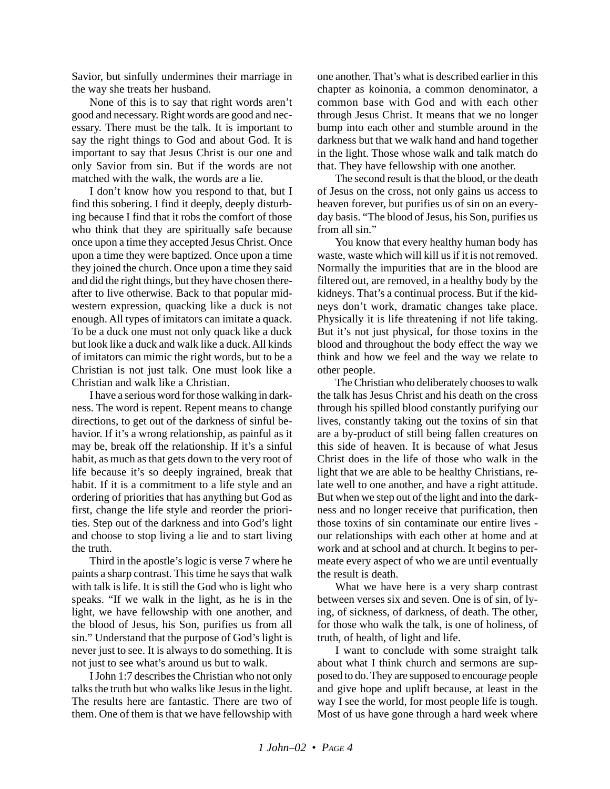Savior, but sinfully undermines their marriage in the way she treats her husband.

None of this is to say that right words aren't good and necessary. Right words are good and necessary. There must be the talk. It is important to say the right things to God and about God. It is important to say that Jesus Christ is our one and only Savior from sin. But if the words are not matched with the walk, the words are a lie.

I don't know how you respond to that, but I find this sobering. I find it deeply, deeply disturbing because I find that it robs the comfort of those who think that they are spiritually safe because once upon a time they accepted Jesus Christ. Once upon a time they were baptized. Once upon a time they joined the church. Once upon a time they said and did the right things, but they have chosen thereafter to live otherwise. Back to that popular midwestern expression, quacking like a duck is not enough. All types of imitators can imitate a quack. To be a duck one must not only quack like a duck but look like a duck and walk like a duck. All kinds of imitators can mimic the right words, but to be a Christian is not just talk. One must look like a Christian and walk like a Christian.

I have a serious word for those walking in darkness. The word is repent. Repent means to change directions, to get out of the darkness of sinful behavior. If it's a wrong relationship, as painful as it may be, break off the relationship. If it's a sinful habit, as much as that gets down to the very root of life because it's so deeply ingrained, break that habit. If it is a commitment to a life style and an ordering of priorities that has anything but God as first, change the life style and reorder the priorities. Step out of the darkness and into God's light and choose to stop living a lie and to start living the truth.

Third in the apostle's logic is verse 7 where he paints a sharp contrast. This time he says that walk with talk is life. It is still the God who is light who speaks. "If we walk in the light, as he is in the light, we have fellowship with one another, and the blood of Jesus, his Son, purifies us from all sin." Understand that the purpose of God's light is never just to see. It is always to do something. It is not just to see what's around us but to walk.

I John 1:7 describes the Christian who not only talks the truth but who walks like Jesus in the light. The results here are fantastic. There are two of them. One of them is that we have fellowship with one another. That's what is described earlier in this chapter as koinonia, a common denominator, a common base with God and with each other through Jesus Christ. It means that we no longer bump into each other and stumble around in the darkness but that we walk hand and hand together in the light. Those whose walk and talk match do that. They have fellowship with one another.

The second result is that the blood, or the death of Jesus on the cross, not only gains us access to heaven forever, but purifies us of sin on an everyday basis. "The blood of Jesus, his Son, purifies us from all sin."

You know that every healthy human body has waste, waste which will kill us if it is not removed. Normally the impurities that are in the blood are filtered out, are removed, in a healthy body by the kidneys. That's a continual process. But if the kidneys don't work, dramatic changes take place. Physically it is life threatening if not life taking. But it's not just physical, for those toxins in the blood and throughout the body effect the way we think and how we feel and the way we relate to other people.

The Christian who deliberately chooses to walk the talk has Jesus Christ and his death on the cross through his spilled blood constantly purifying our lives, constantly taking out the toxins of sin that are a by-product of still being fallen creatures on this side of heaven. It is because of what Jesus Christ does in the life of those who walk in the light that we are able to be healthy Christians, relate well to one another, and have a right attitude. But when we step out of the light and into the darkness and no longer receive that purification, then those toxins of sin contaminate our entire lives our relationships with each other at home and at work and at school and at church. It begins to permeate every aspect of who we are until eventually the result is death.

What we have here is a very sharp contrast between verses six and seven. One is of sin, of lying, of sickness, of darkness, of death. The other, for those who walk the talk, is one of holiness, of truth, of health, of light and life.

I want to conclude with some straight talk about what I think church and sermons are supposed to do. They are supposed to encourage people and give hope and uplift because, at least in the way I see the world, for most people life is tough. Most of us have gone through a hard week where